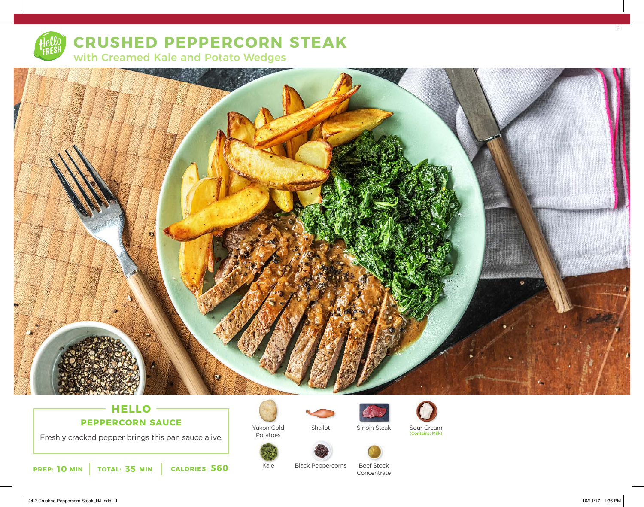

## **CRUSHED PEPPERCORN STEAK**

with Creamed Kale and Potato Wedges



## **HELLO PEPPERCORN SAUCE**

Freshly cracked pepper brings this pan sauce alive.



Potatoes

Kale





Sirloin Steak



Shallot Sirloin Steak Sour Cream (Contains: Milk)



Black Peppercorns



2